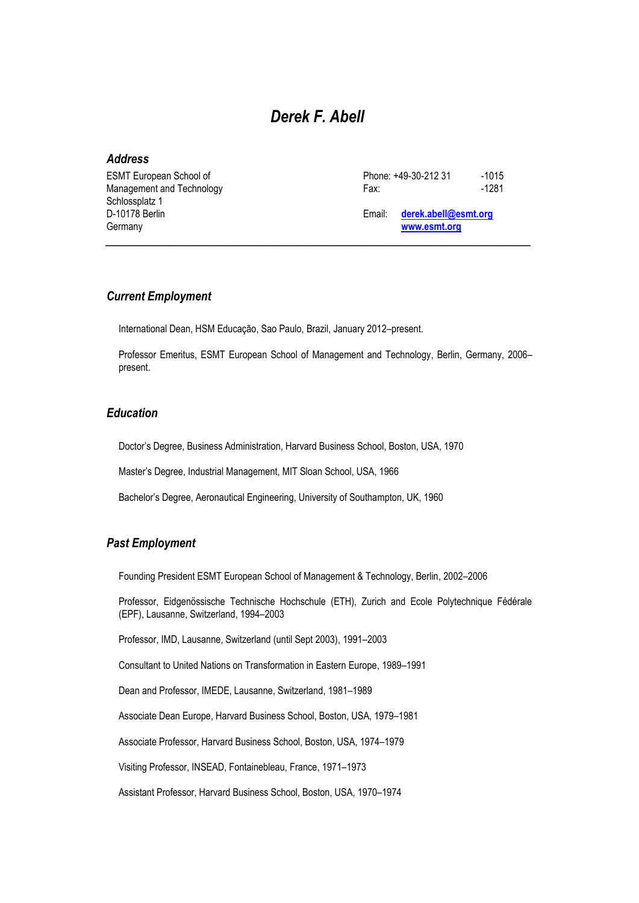# *Derek F. Abell*

#### *Address*

| <b>ESMT European School of</b>              | Phone: +49-30-212 31 | $-1015$                              |
|---------------------------------------------|----------------------|--------------------------------------|
| Management and Technology                   | Fax:                 | $-1281$                              |
| Schlossplatz 1<br>D-10178 Berlin<br>Germany | Email:               | derek.abell@esmt.org<br>www.esmt.org |

#### *Current Employment*

International Dean, HSM Educação, Sao Paulo, Brazil, January 2012–present.

Professor Emeritus, ESMT European School of Management and Technology, Berlin, Germany, 2006– present.

### *Education*

Doctor's Degree, Business Administration, Harvard Business School, Boston, USA, 1970

Master's Degree, Industrial Management, MIT Sloan School, USA, 1966

Bachelor's Degree, Aeronautical Engineering, University of Southampton, UK, 1960

#### *Past Employment*

Founding President ESMT European School of Management & Technology, Berlin, 2002–2006

Professor, Eidgenössische Technische Hochschule (ETH), Zurich and Ecole Polytechnique Fédérale (EPF), Lausanne, Switzerland, 1994–2003

Professor, IMD, Lausanne, Switzerland (until Sept 2003), 1991–2003

Consultant to United Nations on Transformation in Eastern Europe, 1989–1991

Dean and Professor, IMEDE, Lausanne, Switzerland, 1981–1989

Associate Dean Europe, Harvard Business School, Boston, USA, 1979–1981

Associate Professor, Harvard Business School, Boston, USA, 1974–1979

Visiting Professor, INSEAD, Fontainebleau, France, 1971–1973

Assistant Professor, Harvard Business School, Boston, USA, 1970–1974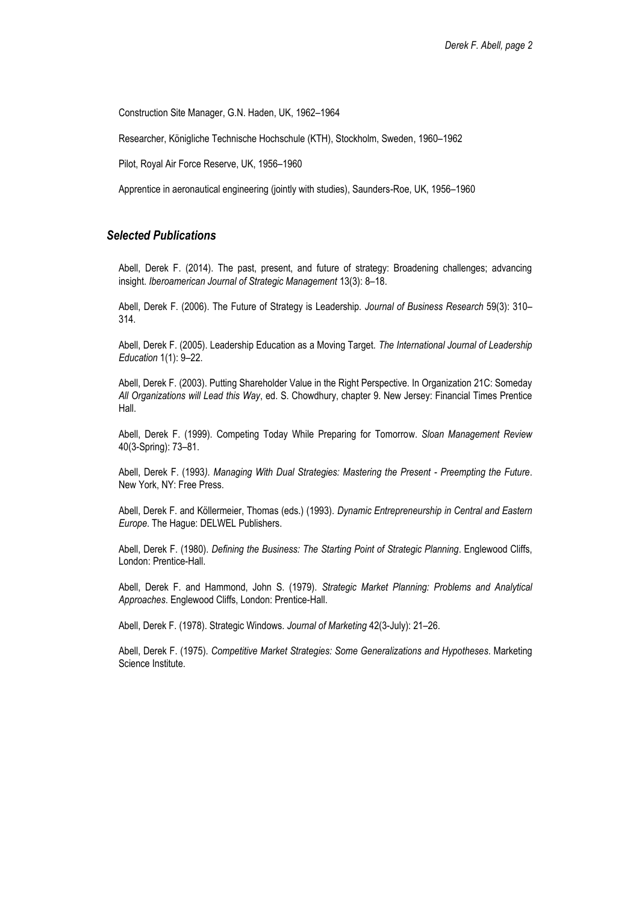Construction Site Manager, G.N. Haden, UK, 1962–1964

Researcher, Königliche Technische Hochschule (KTH), Stockholm, Sweden, 1960–1962

Pilot, Royal Air Force Reserve, UK, 1956–1960

Apprentice in aeronautical engineering (jointly with studies), Saunders-Roe, UK, 1956–1960

#### *Selected Publications*

Abell, Derek F. (2014). The past, present, and future of strategy: Broadening challenges; advancing insight. *Iberoamerican Journal of Strategic Management* 13(3): 8–18.

Abell, Derek F. (2006). The Future of Strategy is Leadership. *Journal of Business Research* 59(3): 310– 314.

Abell, Derek F. (2005). Leadership Education as a Moving Target. *The International Journal of Leadership Education* 1(1): 9–22.

Abell, Derek F. (2003). Putting Shareholder Value in the Right Perspective. In Organization 21C: Someday *All Organizations will Lead this Way*, ed. S. Chowdhury, chapter 9. New Jersey: Financial Times Prentice Hall.

Abell, Derek F. (1999). Competing Today While Preparing for Tomorrow. *Sloan Management Review* 40(3-Spring): 73–81.

Abell, Derek F. (1993*). Managing With Dual Strategies: Mastering the Present - Preempting the Future*. New York, NY: Free Press.

Abell, Derek F. and Köllermeier, Thomas (eds.) (1993). *Dynamic Entrepreneurship in Central and Eastern Europe*. The Hague: DELWEL Publishers.

Abell, Derek F. (1980). *Defining the Business: The Starting Point of Strategic Planning*. Englewood Cliffs, London: Prentice-Hall.

Abell, Derek F. and Hammond, John S. (1979). *Strategic Market Planning: Problems and Analytical Approaches*. Englewood Cliffs, London: Prentice-Hall.

Abell, Derek F. (1978). Strategic Windows. *Journal of Marketing* 42(3-July): 21–26.

Abell, Derek F. (1975). *Competitive Market Strategies: Some Generalizations and Hypotheses*. Marketing Science Institute.